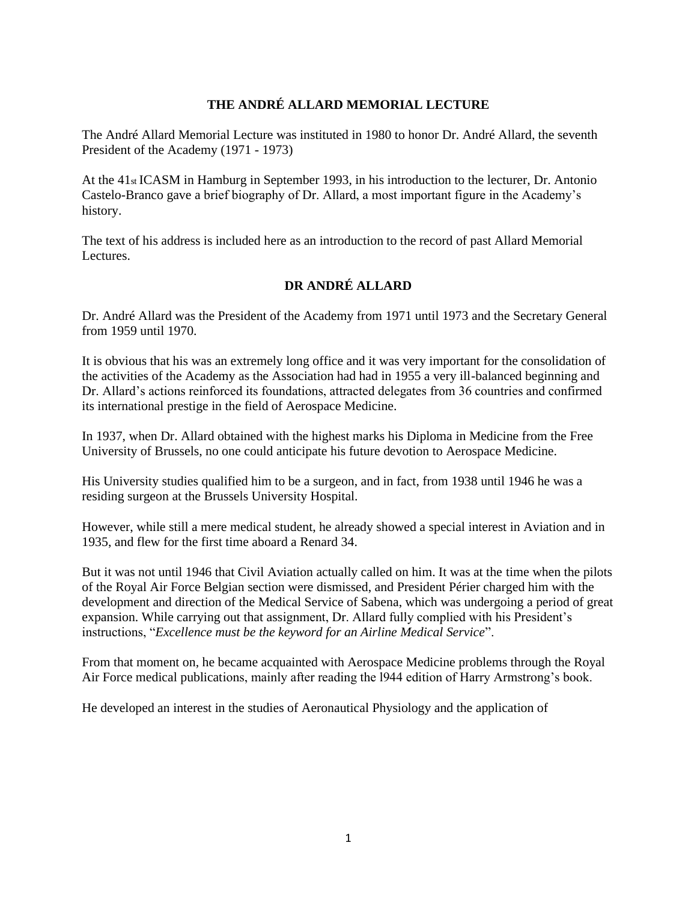## **THE ANDRÉ ALLARD MEMORIAL LECTURE**

The André Allard Memorial Lecture was instituted in 1980 to honor Dr. André Allard, the seventh President of the Academy (1971 - 1973)

At the 41st ICASM in Hamburg in September 1993, in his introduction to the lecturer, Dr. Antonio Castelo-Branco gave a brief biography of Dr. Allard, a most important figure in the Academy's history.

The text of his address is included here as an introduction to the record of past Allard Memorial Lectures.

## **DR ANDRÉ ALLARD**

Dr. André Allard was the President of the Academy from 1971 until 1973 and the Secretary General from 1959 until 1970.

It is obvious that his was an extremely long office and it was very important for the consolidation of the activities of the Academy as the Association had had in 1955 a very ill-balanced beginning and Dr. Allard's actions reinforced its foundations, attracted delegates from 36 countries and confirmed its international prestige in the field of Aerospace Medicine.

In 1937, when Dr. Allard obtained with the highest marks his Diploma in Medicine from the Free University of Brussels, no one could anticipate his future devotion to Aerospace Medicine.

His University studies qualified him to be a surgeon, and in fact, from 1938 until 1946 he was a residing surgeon at the Brussels University Hospital.

However, while still a mere medical student, he already showed a special interest in Aviation and in 1935, and flew for the first time aboard a Renard 34.

But it was not until 1946 that Civil Aviation actually called on him. It was at the time when the pilots of the Royal Air Force Belgian section were dismissed, and President Périer charged him with the development and direction of the Medical Service of Sabena, which was undergoing a period of great expansion. While carrying out that assignment, Dr. Allard fully complied with his President's instructions, "*Excellence must be the keyword for an Airline Medical Service*".

From that moment on, he became acquainted with Aerospace Medicine problems through the Royal Air Force medical publications, mainly after reading the l944 edition of Harry Armstrong's book.

He developed an interest in the studies of Aeronautical Physiology and the application of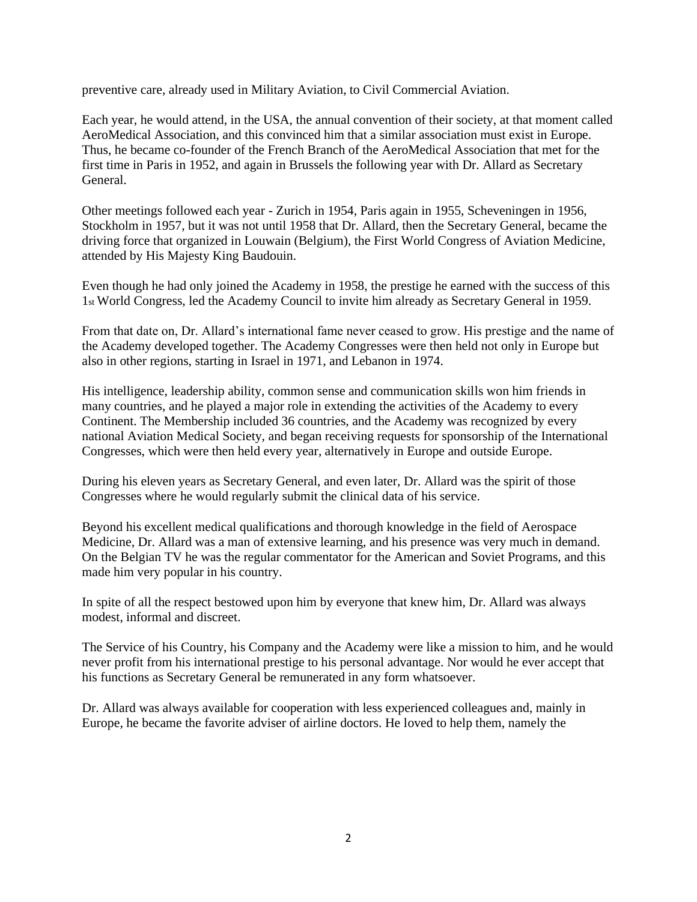preventive care, already used in Military Aviation, to Civil Commercial Aviation.

Each year, he would attend, in the USA, the annual convention of their society, at that moment called AeroMedical Association, and this convinced him that a similar association must exist in Europe. Thus, he became co-founder of the French Branch of the AeroMedical Association that met for the first time in Paris in 1952, and again in Brussels the following year with Dr. Allard as Secretary General.

Other meetings followed each year - Zurich in 1954, Paris again in 1955, Scheveningen in 1956, Stockholm in 1957, but it was not until 1958 that Dr. Allard, then the Secretary General, became the driving force that organized in Louwain (Belgium), the First World Congress of Aviation Medicine, attended by His Majesty King Baudouin.

Even though he had only joined the Academy in 1958, the prestige he earned with the success of this 1st World Congress, led the Academy Council to invite him already as Secretary General in 1959.

From that date on, Dr. Allard's international fame never ceased to grow. His prestige and the name of the Academy developed together. The Academy Congresses were then held not only in Europe but also in other regions, starting in Israel in 1971, and Lebanon in 1974.

His intelligence, leadership ability, common sense and communication skills won him friends in many countries, and he played a major role in extending the activities of the Academy to every Continent. The Membership included 36 countries, and the Academy was recognized by every national Aviation Medical Society, and began receiving requests for sponsorship of the International Congresses, which were then held every year, alternatively in Europe and outside Europe.

During his eleven years as Secretary General, and even later, Dr. Allard was the spirit of those Congresses where he would regularly submit the clinical data of his service.

Beyond his excellent medical qualifications and thorough knowledge in the field of Aerospace Medicine, Dr. Allard was a man of extensive learning, and his presence was very much in demand. On the Belgian TV he was the regular commentator for the American and Soviet Programs, and this made him very popular in his country.

In spite of all the respect bestowed upon him by everyone that knew him, Dr. Allard was always modest, informal and discreet.

The Service of his Country, his Company and the Academy were like a mission to him, and he would never profit from his international prestige to his personal advantage. Nor would he ever accept that his functions as Secretary General be remunerated in any form whatsoever.

Dr. Allard was always available for cooperation with less experienced colleagues and, mainly in Europe, he became the favorite adviser of airline doctors. He loved to help them, namely the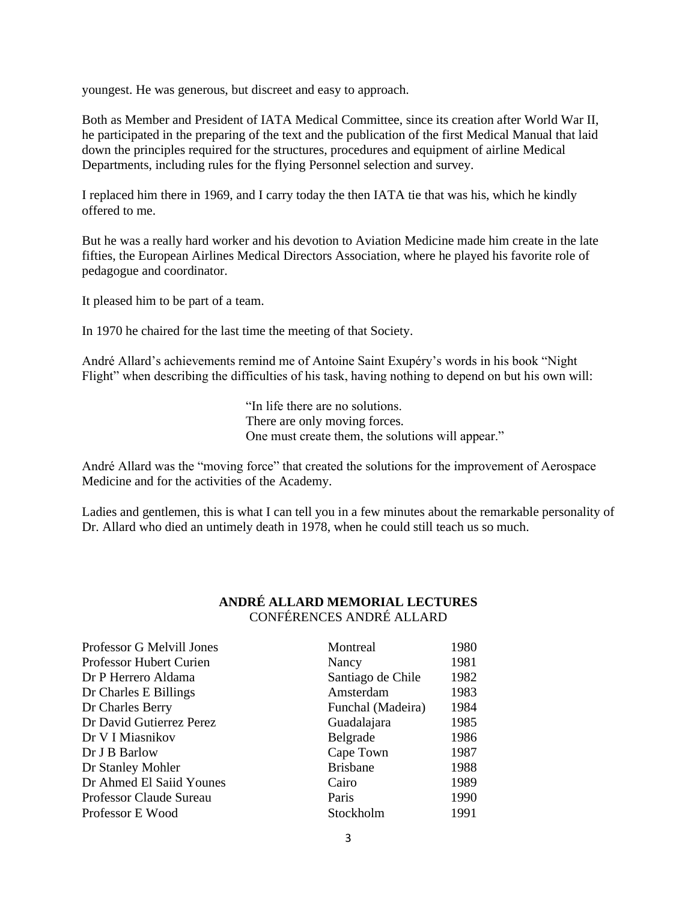youngest. He was generous, but discreet and easy to approach.

Both as Member and President of IATA Medical Committee, since its creation after World War II, he participated in the preparing of the text and the publication of the first Medical Manual that laid down the principles required for the structures, procedures and equipment of airline Medical Departments, including rules for the flying Personnel selection and survey.

I replaced him there in 1969, and I carry today the then IATA tie that was his, which he kindly offered to me.

But he was a really hard worker and his devotion to Aviation Medicine made him create in the late fifties, the European Airlines Medical Directors Association, where he played his favorite role of pedagogue and coordinator.

It pleased him to be part of a team.

In 1970 he chaired for the last time the meeting of that Society.

André Allard's achievements remind me of Antoine Saint Exupéry's words in his book "Night Flight" when describing the difficulties of his task, having nothing to depend on but his own will:

> "In life there are no solutions. There are only moving forces. One must create them, the solutions will appear."

André Allard was the "moving force" that created the solutions for the improvement of Aerospace Medicine and for the activities of the Academy.

Ladies and gentlemen, this is what I can tell you in a few minutes about the remarkable personality of Dr. Allard who died an untimely death in 1978, when he could still teach us so much.

| Professor G Melvill Jones      | Montreal          | 1980 |
|--------------------------------|-------------------|------|
| <b>Professor Hubert Curien</b> | Nancy             | 1981 |
| Dr P Herrero Aldama            | Santiago de Chile | 1982 |
| Dr Charles E Billings          | Amsterdam         | 1983 |
| Dr Charles Berry               | Funchal (Madeira) | 1984 |
| Dr David Gutierrez Perez       | Guadalajara       | 1985 |
| Dr V I Miasnikov               | Belgrade          | 1986 |
| Dr J B Barlow                  | Cape Town         | 1987 |
| Dr Stanley Mohler              | <b>Brisbane</b>   | 1988 |
| Dr Ahmed El Saiid Younes       | Cairo             | 1989 |
| Professor Claude Sureau        | Paris             | 1990 |
| Professor E Wood               | Stockholm         | 1991 |

## **ANDRÉ ALLARD MEMORIAL LECTURES** CONFÉRENCES ANDRÉ ALLARD